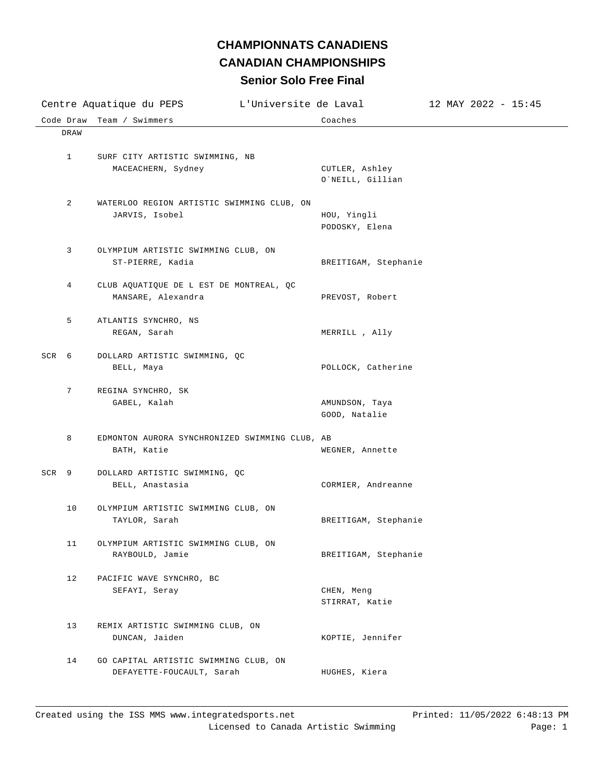## **Senior Solo Free Final CHAMPIONNATS CANADIENS CANADIAN CHAMPIONSHIPS**

| L'Universite de Laval<br>Centre Aquatique du PEPS |                                                                    |                                    | $12$ MAY 2022 - 15:45 |
|---------------------------------------------------|--------------------------------------------------------------------|------------------------------------|-----------------------|
| Code Draw                                         | Team / Swimmers                                                    | Coaches                            |                       |
| DRAW                                              |                                                                    |                                    |                       |
| $\mathbf{1}$                                      | SURF CITY ARTISTIC SWIMMING, NB<br>MACEACHERN, Sydney              | CUTLER, Ashley<br>O`NEILL, Gillian |                       |
| 2                                                 | WATERLOO REGION ARTISTIC SWIMMING CLUB, ON<br>JARVIS, Isobel       | HOU, Yingli<br>PODOSKY, Elena      |                       |
| 3                                                 | OLYMPIUM ARTISTIC SWIMMING CLUB, ON<br>ST-PIERRE, Kadia            | BREITIGAM, Stephanie               |                       |
| 4                                                 | CLUB AQUATIQUE DE L EST DE MONTREAL, QC<br>MANSARE, Alexandra      | PREVOST, Robert                    |                       |
| 5                                                 | ATLANTIS SYNCHRO, NS<br>REGAN, Sarah                               | MERRILL , Ally                     |                       |
| SCR <sub>6</sub>                                  | DOLLARD ARTISTIC SWIMMING, QC<br>BELL, Maya                        | POLLOCK, Catherine                 |                       |
| 7                                                 | REGINA SYNCHRO, SK<br>GABEL, Kalah                                 | AMUNDSON, Taya<br>GOOD, Natalie    |                       |
| 8                                                 | EDMONTON AURORA SYNCHRONIZED SWIMMING CLUB, AB<br>BATH, Katie      | WEGNER, Annette                    |                       |
| SCR <sub>9</sub>                                  | DOLLARD ARTISTIC SWIMMING, QC<br>BELL, Anastasia                   | CORMIER, Andreanne                 |                       |
| 10                                                | OLYMPIUM ARTISTIC SWIMMING CLUB, ON<br>TAYLOR, Sarah               | BREITIGAM, Stephanie               |                       |
| 11                                                | OLYMPIUM ARTISTIC SWIMMING CLUB, ON<br>RAYBOULD, Jamie             | BREITIGAM, Stephanie               |                       |
| 12                                                | PACIFIC WAVE SYNCHRO, BC<br>SEFAYI, Seray                          | CHEN, Meng<br>STIRRAT, Katie       |                       |
| 13                                                | REMIX ARTISTIC SWIMMING CLUB, ON<br>DUNCAN, Jaiden                 | KOPTIE, Jennifer                   |                       |
| 14                                                | GO CAPITAL ARTISTIC SWIMMING CLUB, ON<br>DEFAYETTE-FOUCAULT, Sarah | HUGHES, Kiera                      |                       |